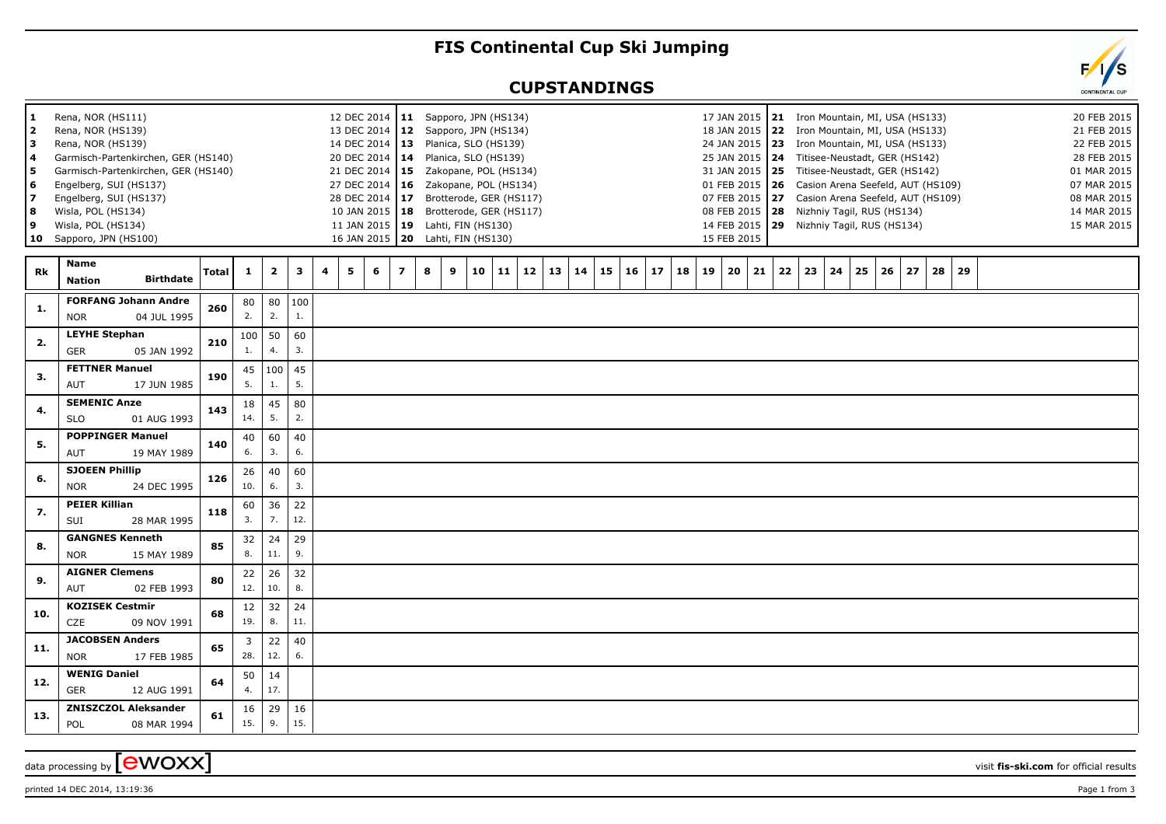## **FIS Continental Cup Ski Jumping**

## **CUPSTANDINGS**



printed 14 DEC 2014, 13:19:36 Page 1 from 3

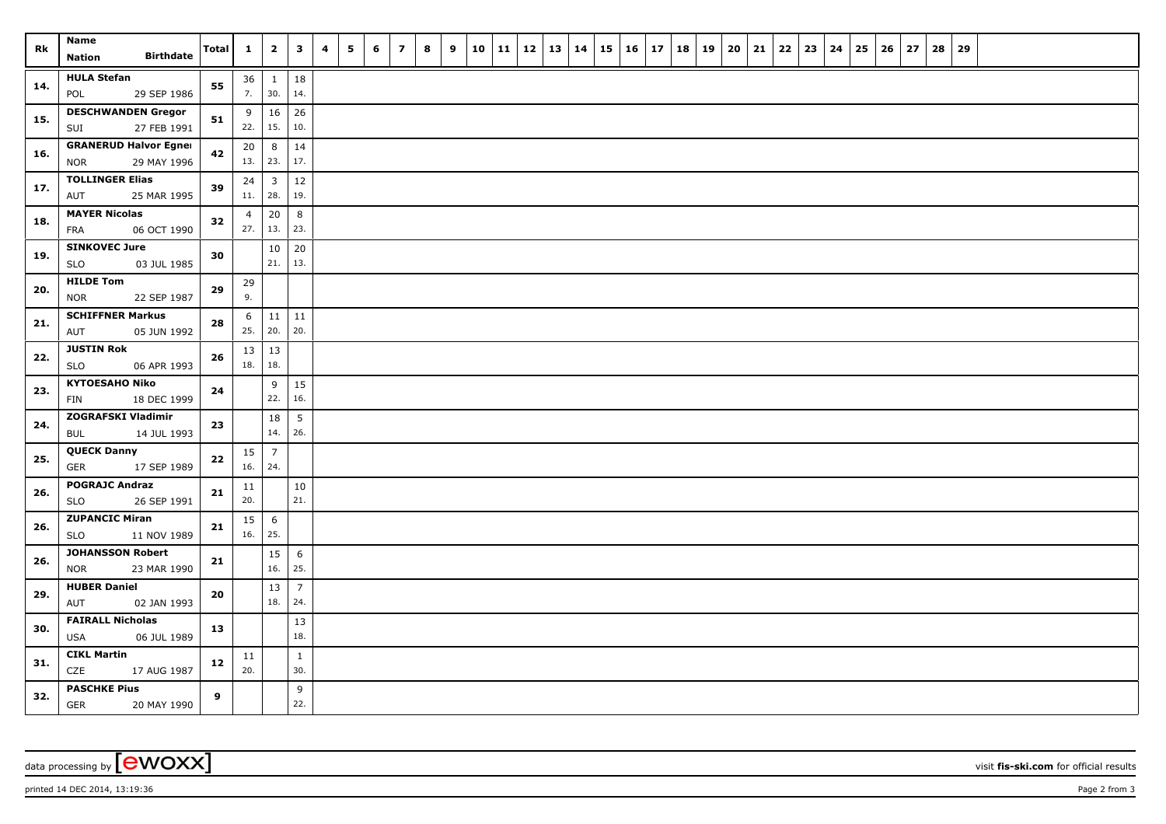| <b>Rk</b> | Name<br><b>Birthdate</b><br><b>Nation</b>            | Total            | $\mathbf{1}$    | $\mathbf{2}$        | $\overline{\mathbf{3}}$ | 4 | 5 | 6 | $\overline{z}$ | 8 | 9 | 10 | $11 \mid 12$ | 13 | 14 | $15 \mid 16$ | 17 | 18 | 19 | 20 | 21 | $22 \mid 23$ | 24 | 25 | 26 | 27 | 28 | 29 |  |  |  |
|-----------|------------------------------------------------------|------------------|-----------------|---------------------|-------------------------|---|---|---|----------------|---|---|----|--------------|----|----|--------------|----|----|----|----|----|--------------|----|----|----|----|----|----|--|--|--|
|           |                                                      |                  |                 |                     |                         |   |   |   |                |   |   |    |              |    |    |              |    |    |    |    |    |              |    |    |    |    |    |    |  |  |  |
| 14.       | <b>HULA Stefan</b><br>29 SEP 1986<br>POL             | 55               | 36<br>7.        | $\mathbf{1}$<br>30. | 18<br>14.               |   |   |   |                |   |   |    |              |    |    |              |    |    |    |    |    |              |    |    |    |    |    |    |  |  |  |
| 15.       | <b>DESCHWANDEN Gregor</b><br>27 FEB 1991<br>SUI      | 51               | 9<br>22.        | 16<br>15.           | 26<br>10.               |   |   |   |                |   |   |    |              |    |    |              |    |    |    |    |    |              |    |    |    |    |    |    |  |  |  |
| 16.       | <b>GRANERUD Halvor Egner</b>                         | 42               | 20              | 8                   | 14<br>17.               |   |   |   |                |   |   |    |              |    |    |              |    |    |    |    |    |              |    |    |    |    |    |    |  |  |  |
|           | 29 MAY 1996<br><b>NOR</b><br><b>TOLLINGER Elias</b>  |                  | 13.   23.<br>24 | $\overline{3}$      | 12                      |   |   |   |                |   |   |    |              |    |    |              |    |    |    |    |    |              |    |    |    |    |    |    |  |  |  |
| 17.       | 25 MAR 1995<br>AUT                                   | 39               | 11.             | 28.                 | 19.                     |   |   |   |                |   |   |    |              |    |    |              |    |    |    |    |    |              |    |    |    |    |    |    |  |  |  |
| 18.       | <b>MAYER Nicolas</b><br><b>FRA</b><br>06 OCT 1990    | 32               | 4<br>27.        | 20<br>13.           | 8<br>23.                |   |   |   |                |   |   |    |              |    |    |              |    |    |    |    |    |              |    |    |    |    |    |    |  |  |  |
| 19.       | <b>SINKOVEC Jure</b><br><b>SLO</b><br>03 JUL 1985    | 30               |                 | 10<br>21.           | 20<br>13.               |   |   |   |                |   |   |    |              |    |    |              |    |    |    |    |    |              |    |    |    |    |    |    |  |  |  |
| 20.       | <b>HILDE Tom</b>                                     | 29               | 29<br>9.        |                     |                         |   |   |   |                |   |   |    |              |    |    |              |    |    |    |    |    |              |    |    |    |    |    |    |  |  |  |
|           | <b>NOR</b><br>22 SEP 1987<br><b>SCHIFFNER Markus</b> |                  | 6               | 11                  | $11\,$                  |   |   |   |                |   |   |    |              |    |    |              |    |    |    |    |    |              |    |    |    |    |    |    |  |  |  |
| 21.       | 05 JUN 1992<br>AUT                                   | 28               | 25.             | 20.                 | 20.                     |   |   |   |                |   |   |    |              |    |    |              |    |    |    |    |    |              |    |    |    |    |    |    |  |  |  |
| 22.       | <b>JUSTIN Rok</b><br><b>SLO</b><br>06 APR 1993       | 26               | 13<br>18.       | 13<br>18.           |                         |   |   |   |                |   |   |    |              |    |    |              |    |    |    |    |    |              |    |    |    |    |    |    |  |  |  |
| 23.       | <b>KYTOESAHO Niko</b><br>FIN<br>18 DEC 1999          | 24               |                 | 9<br>22.            | 15<br>16.               |   |   |   |                |   |   |    |              |    |    |              |    |    |    |    |    |              |    |    |    |    |    |    |  |  |  |
|           | <b>ZOGRAFSKI Vladimir</b>                            |                  |                 | 18                  | 5                       |   |   |   |                |   |   |    |              |    |    |              |    |    |    |    |    |              |    |    |    |    |    |    |  |  |  |
| 24.       | <b>BUL</b><br>14 JUL 1993                            | 23               |                 | 14.                 | 26.                     |   |   |   |                |   |   |    |              |    |    |              |    |    |    |    |    |              |    |    |    |    |    |    |  |  |  |
| 25.       | <b>QUECK Danny</b><br>17 SEP 1989<br><b>GER</b>      | 22               | 15<br>16.   24. | $\overline{7}$      |                         |   |   |   |                |   |   |    |              |    |    |              |    |    |    |    |    |              |    |    |    |    |    |    |  |  |  |
| 26.       | <b>POGRAJC Andraz</b><br>26 SEP 1991<br><b>SLO</b>   | 21               | 11<br>20.       |                     | $10\,$<br>21.           |   |   |   |                |   |   |    |              |    |    |              |    |    |    |    |    |              |    |    |    |    |    |    |  |  |  |
| 26.       | <b>ZUPANCIC Miran</b><br>SLO<br>11 NOV 1989          | 21               | 15<br>16.       | 6<br>25.            |                         |   |   |   |                |   |   |    |              |    |    |              |    |    |    |    |    |              |    |    |    |    |    |    |  |  |  |
|           | <b>JOHANSSON Robert</b>                              |                  |                 | 15                  | 6                       |   |   |   |                |   |   |    |              |    |    |              |    |    |    |    |    |              |    |    |    |    |    |    |  |  |  |
| 26.       | 23 MAR 1990<br><b>NOR</b>                            | 21               |                 | 16.                 | 25.                     |   |   |   |                |   |   |    |              |    |    |              |    |    |    |    |    |              |    |    |    |    |    |    |  |  |  |
| 29.       | <b>HUBER Daniel</b><br>AUT<br>02 JAN 1993            | 20               |                 | 13<br>18.           | $\overline{7}$<br>24.   |   |   |   |                |   |   |    |              |    |    |              |    |    |    |    |    |              |    |    |    |    |    |    |  |  |  |
| 30.       | <b>FAIRALL Nicholas</b><br><b>USA</b><br>06 JUL 1989 | 13               |                 |                     | 13<br>18.               |   |   |   |                |   |   |    |              |    |    |              |    |    |    |    |    |              |    |    |    |    |    |    |  |  |  |
| 31.       | <b>CIKL Martin</b><br>CZE<br>17 AUG 1987             | 12               | 11<br>20.       |                     | $\mathbf{1}$<br>30.     |   |   |   |                |   |   |    |              |    |    |              |    |    |    |    |    |              |    |    |    |    |    |    |  |  |  |
| 32.       | <b>PASCHKE Pius</b><br><b>GER</b><br>20 MAY 1990     | $\boldsymbol{9}$ |                 |                     | 9<br>22.                |   |   |   |                |   |   |    |              |    |    |              |    |    |    |    |    |              |    |    |    |    |    |    |  |  |  |

data processing by **CWOXX** visit **fis-ski.com** for official results